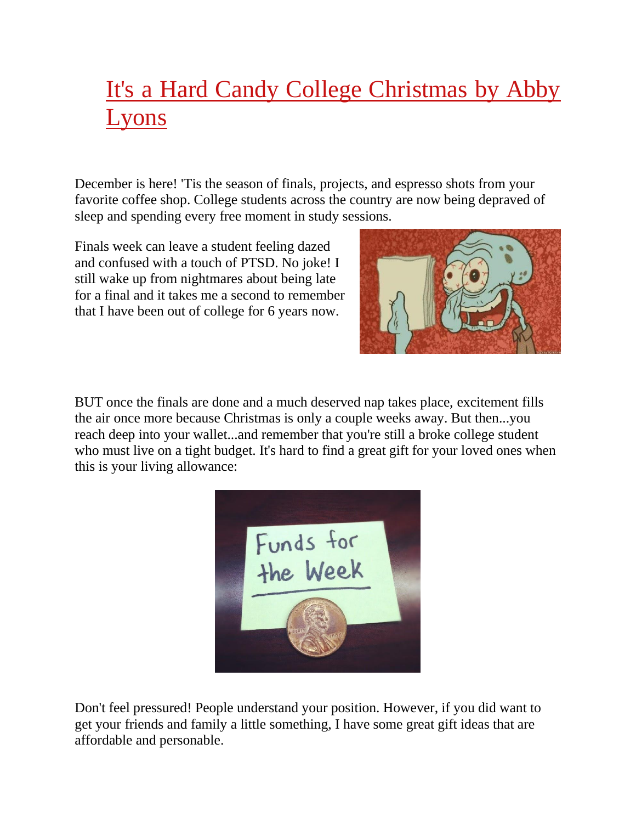## It's a Hard Candy College Christmas by Abby Lyons

December is here! 'Tis the season of finals, projects, and espresso shots from your favorite coffee shop. College students across the country are now being depraved of sleep and spending every free moment in study sessions.

Finals week can leave a student feeling dazed and confused with a touch of PTSD. No joke! I still wake up from nightmares about being late for a final and it takes me a second to remember that I have been out of college for 6 years now.



BUT once the finals are done and a much deserved nap takes place, excitement fills the air once more because Christmas is only a couple weeks away. But then...you reach deep into your wallet...and remember that you're still a broke college student who must live on a tight budget. It's hard to find a great gift for your loved ones when this is your living allowance:



Don't feel pressured! People understand your position. However, if you did want to get your friends and family a little something, I have some great gift ideas that are affordable and personable.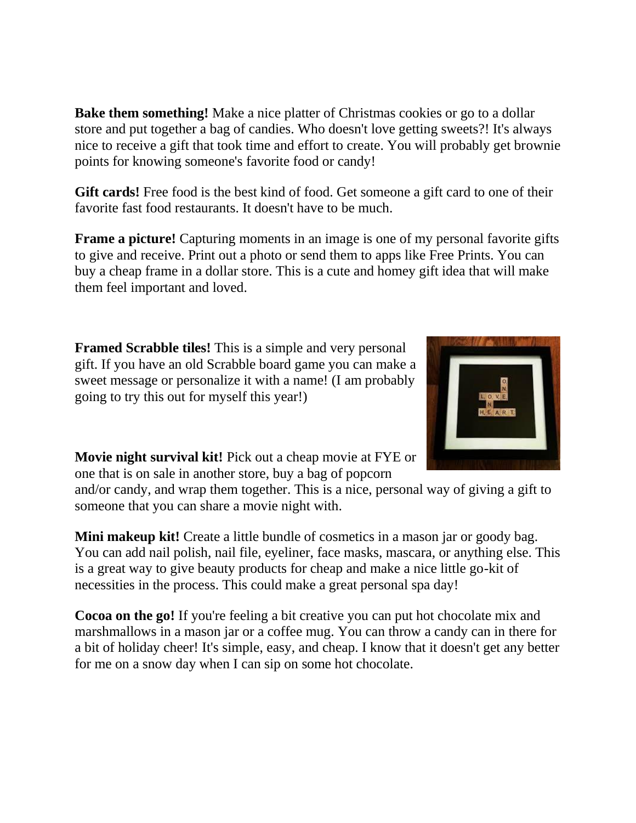**Bake them something!** Make a nice platter of Christmas cookies or go to a dollar store and put together a bag of candies. Who doesn't love getting sweets?! It's always nice to receive a gift that took time and effort to create. You will probably get brownie points for knowing someone's favorite food or candy!

**Gift cards!** Free food is the best kind of food. Get someone a gift card to one of their favorite fast food restaurants. It doesn't have to be much.

**Frame a picture!** Capturing moments in an image is one of my personal favorite gifts to give and receive. Print out a photo or send them to apps like Free Prints. You can buy a cheap frame in a dollar store. This is a cute and homey gift idea that will make them feel important and loved.

**Framed Scrabble tiles!** This is a simple and very personal gift. If you have an old Scrabble board game you can make a sweet message or personalize it with a name! (I am probably going to try this out for myself this year!)



**Movie night survival kit!** Pick out a cheap movie at FYE or one that is on sale in another store, buy a bag of popcorn

and/or candy, and wrap them together. This is a nice, personal way of giving a gift to someone that you can share a movie night with.

**Mini makeup kit!** Create a little bundle of cosmetics in a mason jar or goody bag. You can add nail polish, nail file, eyeliner, face masks, mascara, or anything else. This is a great way to give beauty products for cheap and make a nice little go-kit of necessities in the process. This could make a great personal spa day!

**Cocoa on the go!** If you're feeling a bit creative you can put hot chocolate mix and marshmallows in a mason jar or a coffee mug. You can throw a candy can in there for a bit of holiday cheer! It's simple, easy, and cheap. I know that it doesn't get any better for me on a snow day when I can sip on some hot chocolate.